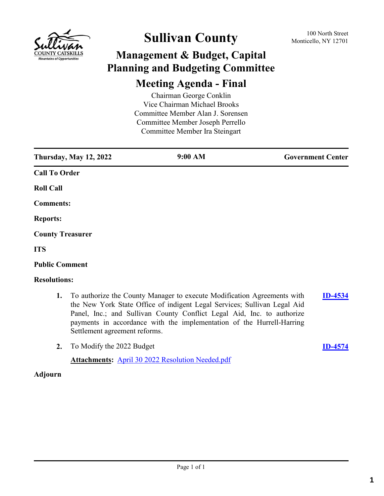

# **Sullivan County** 100 North Street 100 North Street

# **Management & Budget, Capital Planning and Budgeting Committee**

#### **Meeting Agenda - Final**

Chairman George Conklin Vice Chairman Michael Brooks Committee Member Alan J. Sorensen Committee Member Joseph Perrello Committee Member Ira Steingart

| <b>Thursday, May 12, 2022</b> | 9:00 AM | <b>Government Center</b> |  |  |
|-------------------------------|---------|--------------------------|--|--|
| <b>Call To Order</b>          |         |                          |  |  |
| <b>Roll Call</b>              |         |                          |  |  |
| <b>Comments:</b>              |         |                          |  |  |
| <b>Reports:</b>               |         |                          |  |  |
| <b>County Treasurer</b>       |         |                          |  |  |
| <b>ITS</b>                    |         |                          |  |  |
| <b>Public Comment</b>         |         |                          |  |  |
| <b>Resolutions:</b>           |         |                          |  |  |

- **1.** To authorize the County Manager to execute Modification Agreements with the New York State Office of indigent Legal Services; Sullivan Legal Aid Panel, Inc.; and Sullivan County Conflict Legal Aid, Inc. to authorize payments in accordance with the implementation of the Hurrell-Harring Settlement agreement reforms. **[ID-4534](http://sullivancountyny.legistar.com/gateway.aspx?m=l&id=/matter.aspx?key=1560)**
- **2.** To Modify the 2022 Budget **[ID-4574](http://sullivancountyny.legistar.com/gateway.aspx?m=l&id=/matter.aspx?key=1600)**

**Attachments:** [April 30 2022 Resolution Needed.pdf](http://sullivancountyny.legistar.com/gateway.aspx?M=F&ID=355b0cad-41ba-4090-a69e-9ea818c0b20d.pdf)

#### **Adjourn**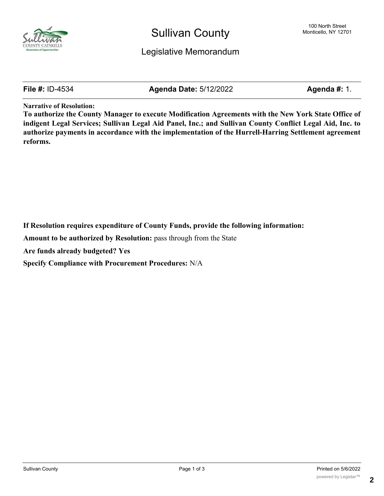

### Sullivan County

**File #:** ID-4534 **Agenda Date:** 5/12/2022 **Agenda #:** 1.

**Narrative of Resolution:**

**To authorize the County Manager to execute Modification Agreements with the New York State Office of indigent Legal Services; Sullivan Legal Aid Panel, Inc.; and Sullivan County Conflict Legal Aid, Inc. to authorize payments in accordance with the implementation of the Hurrell-Harring Settlement agreement reforms.**

**If Resolution requires expenditure of County Funds, provide the following information:**

**Amount to be authorized by Resolution:** pass through from the State

**Are funds already budgeted? Yes**

**Specify Compliance with Procurement Procedures:** N/A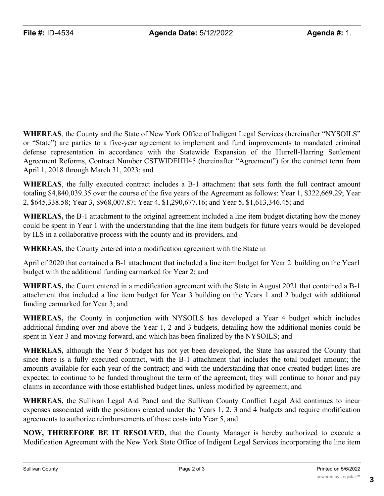**WHEREAS**, the County and the State of New York Office of Indigent Legal Services (hereinafter "NYSOILS" or "State") are parties to a five-year agreement to implement and fund improvements to mandated criminal defense representation in accordance with the Statewide Expansion of the Hurrell-Harring Settlement Agreement Reforms, Contract Number CSTWIDEHH45 (hereinafter "Agreement") for the contract term from April 1, 2018 through March 31, 2023; and

**WHEREAS**, the fully executed contract includes a B-1 attachment that sets forth the full contract amount totaling \$4,840,039.35 over the course of the five years of the Agreement as follows: Year 1, \$322,669.29; Year 2, \$645,338.58; Year 3, \$968,007.87; Year 4, \$1,290,677.16; and Year 5, \$1,613,346.45; and

**WHEREAS,** the B-1 attachment to the original agreement included a line item budget dictating how the money could be spent in Year 1 with the understanding that the line item budgets for future years would be developed by ILS in a collaborative process with the county and its providers, and

**WHEREAS,** the County entered into a modification agreement with the State in

April of 2020 that contained a B-1 attachment that included a line item budget for Year 2 building on the Year1 budget with the additional funding earmarked for Year 2; and

**WHEREAS,** the Count entered in a modification agreement with the State in August 2021 that contained a B-1 attachment that included a line item budget for Year 3 building on the Years 1 and 2 budget with additional funding earmarked for Year 3; and

**WHEREAS,** the County in conjunction with NYSOILS has developed a Year 4 budget which includes additional funding over and above the Year 1, 2 and 3 budgets, detailing how the additional monies could be spent in Year 3 and moving forward, and which has been finalized by the NYSOILS; and

**WHEREAS,** although the Year 5 budget has not yet been developed, the State has assured the County that since there is a fully executed contract, with the B-1 attachment that includes the total budget amount; the amounts available for each year of the contract; and with the understanding that once created budget lines are expected to continue to be funded throughout the term of the agreement, they will continue to honor and pay claims in accordance with those established budget lines, unless modified by agreement; and

**WHEREAS,** the Sullivan Legal Aid Panel and the Sullivan County Conflict Legal Aid continues to incur expenses associated with the positions created under the Years 1, 2, 3 and 4 budgets and require modification agreements to authorize reimbursements of those costs into Year 5, and

**NOW, THEREFORE BE IT RESOLVED,** that the County Manager is hereby authorized to execute a Modification Agreement with the New York State Office of Indigent Legal Services incorporating the line item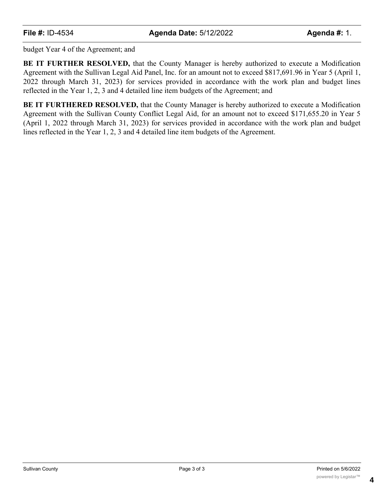budget Year 4 of the Agreement; and

**BE IT FURTHER RESOLVED,** that the County Manager is hereby authorized to execute a Modification Agreement with the Sullivan Legal Aid Panel, Inc. for an amount not to exceed \$817,691.96 in Year 5 (April 1, 2022 through March 31, 2023) for services provided in accordance with the work plan and budget lines reflected in the Year 1, 2, 3 and 4 detailed line item budgets of the Agreement; and

**BE IT FURTHERED RESOLVED,** that the County Manager is hereby authorized to execute a Modification Agreement with the Sullivan County Conflict Legal Aid, for an amount not to exceed \$171,655.20 in Year 5 (April 1, 2022 through March 31, 2023) for services provided in accordance with the work plan and budget lines reflected in the Year 1, 2, 3 and 4 detailed line item budgets of the Agreement.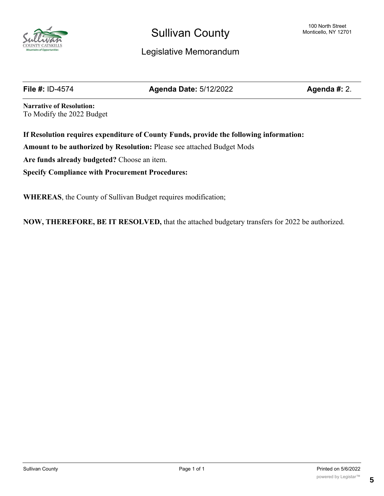

## Sullivan County

#### Legislative Memorandum

**File #:** ID-4574 **Agenda Date:** 5/12/2022 **Agenda #:** 2.

**Narrative of Resolution:** To Modify the 2022 Budget

**If Resolution requires expenditure of County Funds, provide the following information: Amount to be authorized by Resolution:** Please see attached Budget Mods **Are funds already budgeted?** Choose an item. **Specify Compliance with Procurement Procedures:**

**WHEREAS**, the County of Sullivan Budget requires modification;

**NOW, THEREFORE, BE IT RESOLVED,** that the attached budgetary transfers for 2022 be authorized.